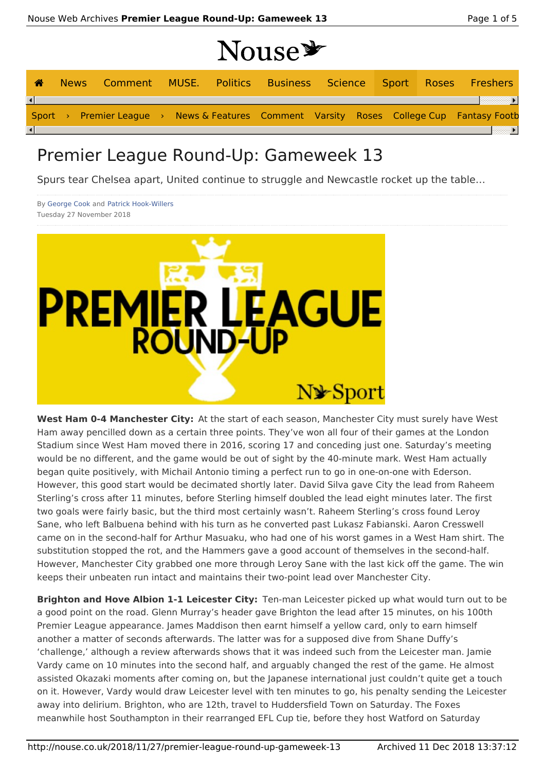# Nougar

|          |                                                                                          |  | <b>TIQUAD</b> |  |  |  |
|----------|------------------------------------------------------------------------------------------|--|---------------|--|--|--|
| 合        | News Comment MUSE. Politics Business Science Sport Roses Freshers                        |  |               |  |  |  |
| $\lceil$ |                                                                                          |  |               |  |  |  |
|          | Sport > Premier League > News & Features Comment Varsity Roses College Cup Fantasy Footb |  |               |  |  |  |
|          |                                                                                          |  |               |  |  |  |

## Premier League Round-Up: Gameweek 13

Spurs tear Chelsea apart, United continue to struggle and Newcastle rocket up the table…

By George Cook and Patrick Hook-Willers Tuesday 27 November 2018



**West Ham 0-4 Manchester City:** At the start of each season, Manchester City must surely have West Ham away pencilled down as a certain three points. They've won all four of their games at the London Stadium since West Ham moved there in 2016, scoring 17 and conceding just one. Saturday's meeting would be no different, and the game would be out of sight by the 40-minute mark. West Ham actually began quite positively, with Michail Antonio timing a perfect run to go in one-on-one with Ederson. However, this good start would be decimated shortly later. David Silva gave City the lead from Raheem Sterling's cross after 11 minutes, before Sterling himself doubled the lead eight minutes later. The first two goals were fairly basic, but the third most certainly wasn't. Raheem Sterling's cross found Leroy Sane, who left Balbuena behind with his turn as he converted past Lukasz Fabianski. Aaron Cresswell came on in the second-half for Arthur Masuaku, who had one of his worst games in a West Ham shirt. The substitution stopped the rot, and the Hammers gave a good account of themselves in the second-half. However, Manchester City grabbed one more through Leroy Sane with the last kick off the game. The win keeps their unbeaten run intact and maintains their two-point lead over Manchester City.

**Brighton and Hove Albion 1-1 Leicester City:** Ten-man Leicester picked up what would turn out to be a good point on the road. Glenn Murray's header gave Brighton the lead after 15 minutes, on his 100th Premier League appearance. James Maddison then earnt himself a yellow card, only to earn himself another a matter of seconds afterwards. The latter was for a supposed dive from Shane Duffy's 'challenge,' although a review afterwards shows that it was indeed such from the Leicester man. Jamie Vardy came on 10 minutes into the second half, and arguably changed the rest of the game. He almost assisted Okazaki moments after coming on, but the Japanese international just couldn't quite get a touch on it. However, Vardy would draw Leicester level with ten minutes to go, his penalty sending the Leicester away into delirium. Brighton, who are 12th, travel to Huddersfield Town on Saturday. The Foxes meanwhile host Southampton in their rearranged EFL Cup tie, before they host Watford on Saturday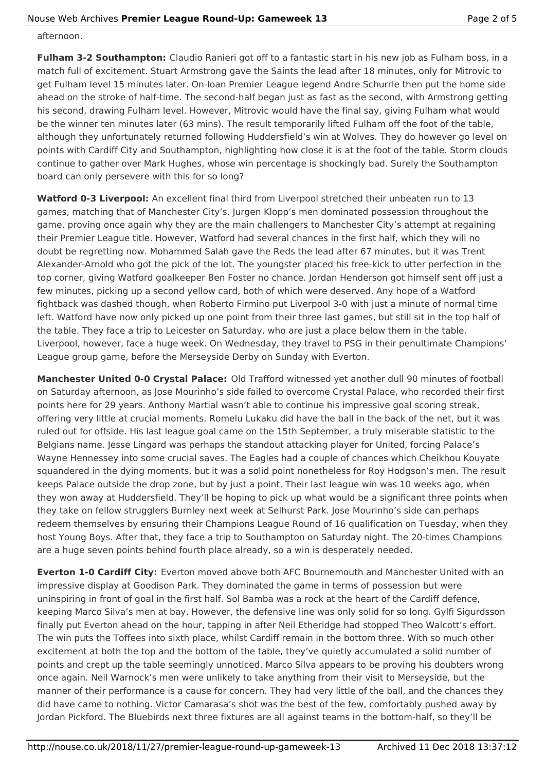afternoon.

**Fulham 3-2 Southampton:** Claudio Ranieri got off to a fantastic start in his new job as Fulham boss, in a match full of excitement. Stuart Armstrong gave the Saints the lead after 18 minutes, only for Mitrovic to get Fulham level 15 minutes later. On-loan Premier League legend Andre Schurrle then put the home side ahead on the stroke of half-time. The second-half began just as fast as the second, with Armstrong getting his second, drawing Fulham level. However, Mitrovic would have the final say, giving Fulham what would be the winner ten minutes later (63 mins). The result temporarily lifted Fulham off the foot of the table, although they unfortunately returned following Huddersfield's win at Wolves. They do however go level on points with Cardiff City and Southampton, highlighting how close it is at the foot of the table. Storm clouds continue to gather over Mark Hughes, whose win percentage is shockingly bad. Surely the Southampton board can only persevere with this for so long?

**Watford 0-3 Liverpool:** An excellent final third from Liverpool stretched their unbeaten run to 13 games, matching that of Manchester City's. Jurgen Klopp's men dominated possession throughout the game, proving once again why they are the main challengers to Manchester City's attempt at regaining their Premier League title. However, Watford had several chances in the first half, which they will no doubt be regretting now. Mohammed Salah gave the Reds the lead after 67 minutes, but it was Trent Alexander-Arnold who got the pick of the lot. The youngster placed his free-kick to utter perfection in the top corner, giving Watford goalkeeper Ben Foster no chance. Jordan Henderson got himself sent off just a few minutes, picking up a second yellow card, both of which were deserved. Any hope of a Watford fightback was dashed though, when Roberto Firmino put Liverpool 3-0 with just a minute of normal time left. Watford have now only picked up one point from their three last games, but still sit in the top half of the table. They face a trip to Leicester on Saturday, who are just a place below them in the table. Liverpool, however, face a huge week. On Wednesday, they travel to PSG in their penultimate Champions' League group game, before the Merseyside Derby on Sunday with Everton.

**Manchester United 0-0 Crystal Palace:** Old Trafford witnessed yet another dull 90 minutes of football on Saturday afternoon, as Jose Mourinho's side failed to overcome Crystal Palace, who recorded their first points here for 29 years. Anthony Martial wasn't able to continue his impressive goal scoring streak, offering very little at crucial moments. Romelu Lukaku did have the ball in the back of the net, but it was ruled out for offside. His last league goal came on the 15th September, a truly miserable statistic to the Belgians name. Jesse Lingard was perhaps the standout attacking player for United, forcing Palace's Wayne Hennessey into some crucial saves. The Eagles had a couple of chances which Cheikhou Kouyate squandered in the dying moments, but it was a solid point nonetheless for Roy Hodgson's men. The result keeps Palace outside the drop zone, but by just a point. Their last league win was 10 weeks ago, when they won away at Huddersfield. They'll be hoping to pick up what would be a significant three points when they take on fellow strugglers Burnley next week at Selhurst Park. Jose Mourinho's side can perhaps redeem themselves by ensuring their Champions League Round of 16 qualification on Tuesday, when they host Young Boys. After that, they face a trip to Southampton on Saturday night. The 20-times Champions are a huge seven points behind fourth place already, so a win is desperately needed.

**Everton 1-0 Cardiff City:** Everton moved above both AFC Bournemouth and Manchester United with an impressive display at Goodison Park. They dominated the game in terms of possession but were uninspiring in front of goal in the first half. Sol Bamba was a rock at the heart of the Cardiff defence, keeping Marco Silva's men at bay. However, the defensive line was only solid for so long. Gylfi Sigurdsson finally put Everton ahead on the hour, tapping in after Neil Etheridge had stopped Theo Walcott's effort. The win puts the Toffees into sixth place, whilst Cardiff remain in the bottom three. With so much other excitement at both the top and the bottom of the table, they've quietly accumulated a solid number of points and crept up the table seemingly unnoticed. Marco Silva appears to be proving his doubters wrong once again. Neil Warnock's men were unlikely to take anything from their visit to Merseyside, but the manner of their performance is a cause for concern. They had very little of the ball, and the chances they did have came to nothing. Victor Camarasa's shot was the best of the few, comfortably pushed away by Jordan Pickford. The Bluebirds next three fixtures are all against teams in the bottom-half, so they'll be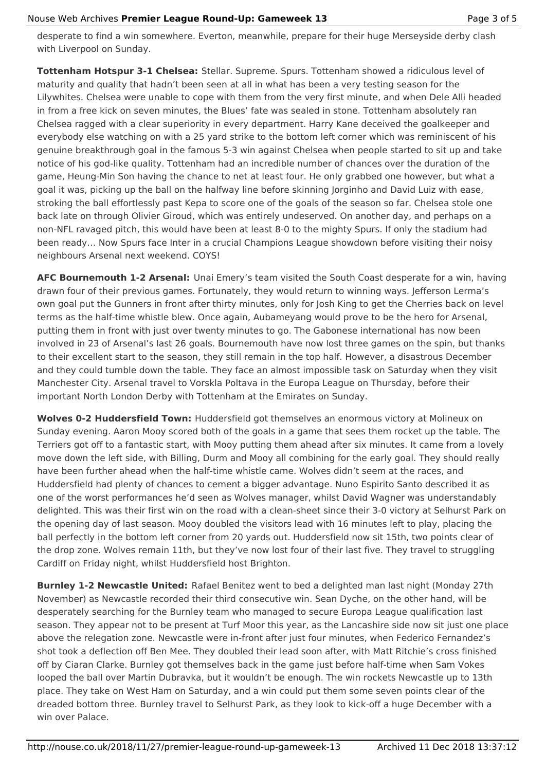#### Nouse Web Archives **Premier League Round-Up: Gameweek 13** Page 3 of 5

desperate to find a win somewhere. Everton, meanwhile, prepare for their huge Merseyside derby clash with Liverpool on Sunday.

**Tottenham Hotspur 3-1 Chelsea:** Stellar. Supreme. Spurs. Tottenham showed a ridiculous level of maturity and quality that hadn't been seen at all in what has been a very testing season for the Lilywhites. Chelsea were unable to cope with them from the very first minute, and when Dele Alli headed in from a free kick on seven minutes, the Blues' fate was sealed in stone. Tottenham absolutely ran Chelsea ragged with a clear superiority in every department. Harry Kane deceived the goalkeeper and everybody else watching on with a 25 yard strike to the bottom left corner which was reminiscent of his genuine breakthrough goal in the famous 5-3 win against Chelsea when people started to sit up and take notice of his god-like quality. Tottenham had an incredible number of chances over the duration of the game, Heung-Min Son having the chance to net at least four. He only grabbed one however, but what a goal it was, picking up the ball on the halfway line before skinning Jorginho and David Luiz with ease, stroking the ball effortlessly past Kepa to score one of the goals of the season so far. Chelsea stole one back late on through Olivier Giroud, which was entirely undeserved. On another day, and perhaps on a non-NFL ravaged pitch, this would have been at least 8-0 to the mighty Spurs. If only the stadium had been ready… Now Spurs face Inter in a crucial Champions League showdown before visiting their noisy neighbours Arsenal next weekend. COYS!

**AFC Bournemouth 1-2 Arsenal:** Unai Emery's team visited the South Coast desperate for a win, having drawn four of their previous games. Fortunately, they would return to winning ways. Jefferson Lerma's own goal put the Gunners in front after thirty minutes, only for Josh King to get the Cherries back on level terms as the half-time whistle blew. Once again, Aubameyang would prove to be the hero for Arsenal, putting them in front with just over twenty minutes to go. The Gabonese international has now been involved in 23 of Arsenal's last 26 goals. Bournemouth have now lost three games on the spin, but thanks to their excellent start to the season, they still remain in the top half. However, a disastrous December and they could tumble down the table. They face an almost impossible task on Saturday when they visit Manchester City. Arsenal travel to Vorskla Poltava in the Europa League on Thursday, before their important North London Derby with Tottenham at the Emirates on Sunday.

**Wolves 0-2 Huddersfield Town:** Huddersfield got themselves an enormous victory at Molineux on Sunday evening. Aaron Mooy scored both of the goals in a game that sees them rocket up the table. The Terriers got off to a fantastic start, with Mooy putting them ahead after six minutes. It came from a lovely move down the left side, with Billing, Durm and Mooy all combining for the early goal. They should really have been further ahead when the half-time whistle came. Wolves didn't seem at the races, and Huddersfield had plenty of chances to cement a bigger advantage. Nuno Espirito Santo described it as one of the worst performances he'd seen as Wolves manager, whilst David Wagner was understandably delighted. This was their first win on the road with a clean-sheet since their 3-0 victory at Selhurst Park on the opening day of last season. Mooy doubled the visitors lead with 16 minutes left to play, placing the ball perfectly in the bottom left corner from 20 yards out. Huddersfield now sit 15th, two points clear of the drop zone. Wolves remain 11th, but they've now lost four of their last five. They travel to struggling Cardiff on Friday night, whilst Huddersfield host Brighton.

**Burnley 1-2 Newcastle United:** Rafael Benitez went to bed a delighted man last night (Monday 27th November) as Newcastle recorded their third consecutive win. Sean Dyche, on the other hand, will be desperately searching for the Burnley team who managed to secure Europa League qualification last season. They appear not to be present at Turf Moor this year, as the Lancashire side now sit just one place above the relegation zone. Newcastle were in-front after just four minutes, when Federico Fernandez's shot took a deflection off Ben Mee. They doubled their lead soon after, with Matt Ritchie's cross finished off by Ciaran Clarke. Burnley got themselves back in the game just before half-time when Sam Vokes looped the ball over Martin Dubravka, but it wouldn't be enough. The win rockets Newcastle up to 13th place. They take on West Ham on Saturday, and a win could put them some seven points clear of the dreaded bottom three. Burnley travel to Selhurst Park, as they look to kick-off a huge December with a win over Palace.